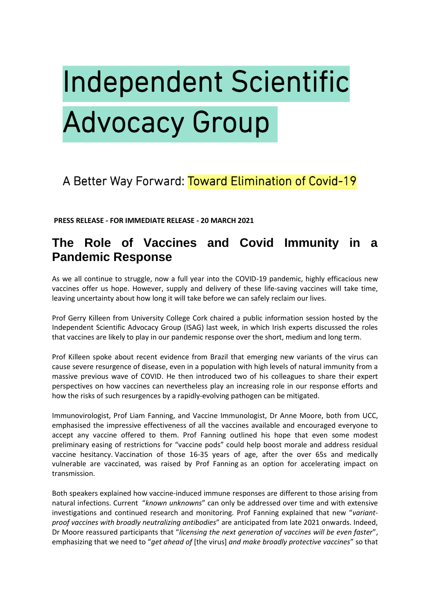# **Independent Scientific Advocacy Group**

# A Better Way Forward: Toward Elimination of Covid-19

**PRESS RELEASE - FOR IMMEDIATE RELEASE - 20 MARCH 2021** 

# **The Role of Vaccines and Covid Immunity in a Pandemic Response**

As we all continue to struggle, now a full year into the COVID-19 pandemic, highly efficacious new vaccines offer us hope. However, supply and delivery of these life-saving vaccines will take time, leaving uncertainty about how long it will take before we can safely reclaim our lives.

Prof Gerry Killeen from University College Cork chaired a public information session hosted by the Independent Scientific Advocacy Group (ISAG) last week, in which Irish experts discussed the roles that vaccines are likely to play in our pandemic response over the short, medium and long term.

Prof Killeen spoke about recent evidence from Brazil that emerging new variants of the virus can cause severe resurgence of disease, even in a population with high levels of natural immunity from a massive previous wave of COVID. He then introduced two of his colleagues to share their expert perspectives on how vaccines can nevertheless play an increasing role in our response efforts and how the risks of such resurgences by a rapidly-evolving pathogen can be mitigated.

Immunovirologist, Prof Liam Fanning, and Vaccine Immunologist, Dr Anne Moore, both from UCC, emphasised the impressive effectiveness of all the vaccines available and encouraged everyone to accept any vaccine offered to them. Prof Fanning outlined his hope that even some modest preliminary easing of restrictions for "vaccine pods" could help boost morale and address residual vaccine hesitancy. Vaccination of those 16-35 years of age, after the over 65s and medically vulnerable are vaccinated, was raised by Prof Fanning as an option for accelerating impact on transmission.

Both speakers explained how vaccine-induced immune responses are different to those arising from natural infections. Current "*known unknowns*" can only be addressed over time and with extensive investigations and continued research and monitoring. Prof Fanning explained that new "*variantproof vaccines with broadly neutralizing antibodies*" are anticipated from late 2021 onwards. Indeed, Dr Moore reassured participants that "*licensing the next generation of vaccines will be even faster*", emphasizing that we need to "*get ahead of* [the virus] *and make broadly protective vaccines*" so that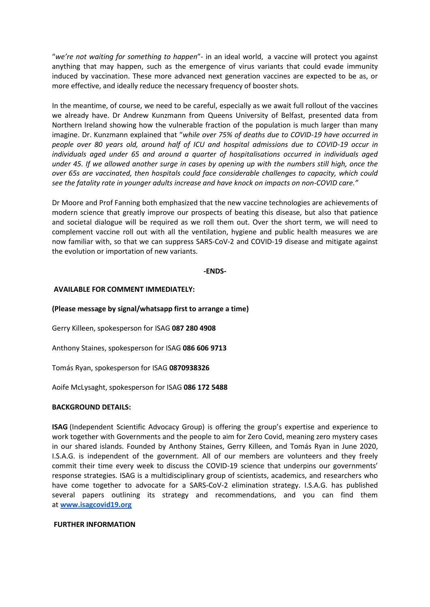"*we're not waiting for something to happen*"- in an ideal world, a vaccine will protect you against anything that may happen, such as the emergence of virus variants that could evade immunity induced by vaccination. These more advanced next generation vaccines are expected to be as, or more effective, and ideally reduce the necessary frequency of booster shots.

In the meantime, of course, we need to be careful, especially as we await full rollout of the vaccines we already have. Dr Andrew Kunzmann from Queens University of Belfast, presented data from Northern Ireland showing how the vulnerable fraction of the population is much larger than many imagine. Dr. Kunzmann explained that "*while over 75% of deaths due to COVID-19 have occurred in people over 80 years old, around half of ICU and hospital admissions due to COVID-19 occur in individuals aged under 65 and around a quarter of hospitalisations occurred in individuals aged under 45. If we allowed another surge in cases by opening up with the numbers still high, once the over 65s are vaccinated, then hospitals could face considerable challenges to capacity, which could see the fatality rate in younger adults increase and have knock on impacts on non-COVID care."*

Dr Moore and Prof Fanning both emphasized that the new vaccine technologies are achievements of modern science that greatly improve our prospects of beating this disease, but also that patience and societal dialogue will be required as we roll them out. Over the short term, we will need to complement vaccine roll out with all the ventilation, hygiene and public health measures we are now familiar with, so that we can suppress SARS-CoV-2 and COVID-19 disease and mitigate against the evolution or importation of new variants.

#### **-ENDS-**

## **AVAILABLE FOR COMMENT IMMEDIATELY:**

## **(Please message by signal/whatsapp first to arrange a time)**

Gerry Killeen, spokesperson for ISAG **087 280 4908**

Anthony Staines, spokesperson for ISAG **086 606 9713**

Tomás Ryan, spokesperson for ISAG **0870938326**

Aoife McLysaght, spokesperson for ISAG **086 172 5488**

#### **BACKGROUND DETAILS:**

**ISAG** (Independent Scientific Advocacy Group) is offering the group's expertise and experience to work together with Governments and the people to aim for Zero Covid, meaning zero mystery cases in our shared islands. Founded by Anthony Staines, Gerry Killeen, and Tomás Ryan in June 2020, I.S.A.G. is independent of the government. All of our members are volunteers and they freely commit their time every week to discuss the COVID-19 science that underpins our governments' response strategies. ISAG is a multidisciplinary group of scientists, academics, and researchers who have come together to advocate for a SARS-CoV-2 elimination strategy. I.S.A.G. has published several papers outlining its strategy and recommendations, and you can find them at **[www.isagcovid19.org](http://www.isagcovid19.org/)** 

#### **FURTHER INFORMATION**